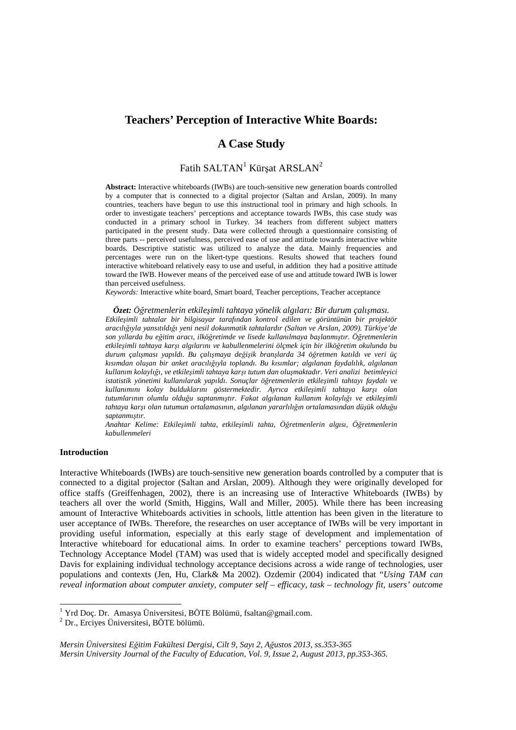# **Teachers' Perception of Interactive White Boards:**

# **A Case Study**

# Fatih SALTAN $^{\rm l}$  Kürşat ARSLAN $^{\rm 2}$

**Abstract:** Interactive whiteboards (IWBs) are touch-sensitive new generation boards controlled by a computer that is connected to a digital projector (Saltan and Arslan, 2009). In many countries, teachers have begun to use this instructional tool in primary and high schools. In order to investigate teachers' perceptions and acceptance towards IWBs, this case study was conducted in a primary school in Turkey. 34 teachers from different subject matters participated in the present study. Data were collected through a questionnaire consisting of three parts -- perceived usefulness, perceived ease of use and attitude towards interactive white boards. Descriptive statistic was utilized to analyze the data. Mainly frequencies and percentages were run on the likert-type questions. Results showed that teachers found interactive whiteboard relatively easy to use and useful, in addition they had a positive attitude toward the IWB. However means of the perceived ease of use and attitude toward IWB is lower than perceived usefulness.

*Keywords:* Interactive white board, Smart board, Teacher perceptions, Teacher acceptance

*Özet: Öğretmenlerin etkileşimli tahtaya yönelik algıları: Bir durum çalışması. Etkileşimli tahtalar bir bilgisayar tarafından kontrol edilen ve görüntünün bir projektör aracılığıyla yansıtıldığı yeni nesil dokunmatik tahtalardır (Saltan ve Arslan, 2009). Türkiye'de son yıllarda bu eğitim aracı, ilköğretimde ve lisede kullanılmaya başlanmıştır. Öğretmenlerin etkileşimli tahtaya karşı algılarını ve kabullenmelerini ölçmek için bir ilköğretim okulunda bu durum çalışması yapıldı. Bu çalışmaya değişik branşlarda 34 öğretmen katıldı ve veri üç kısımdan oluşan bir anket aracılığıyla toplandı. Bu kısımlar; algılanan faydalılık, algılanan kullanım kolaylığı, ve etkileşimli tahtaya karşı tutum dan oluşmaktadır. Veri analizi betimleyici istatistik yönetimi kullanılarak yapıldı. Sonuçlar öğretmenlerin etkileşimli tahtayı faydalı ve kullanımını kolay bulduklarını göstermektedir. Ayrıca etkileşimli tahtaya karşı olan tutumlarının olumlu olduğu saptanmıştır. Fakat algılanan kullanım kolaylığı ve etkileşimli tahtaya karşı olan tutumun ortalamasının, algılanan yararlılığın ortalamasından düşük olduğu saptanmıştır.* 

*Anahtar Kelime: Etkileşimli tahta, etkileşimli tahta, Öğretmenlerin algısı, Öğretmenlerin kabullenmeleri*

# **Introduction**

Interactive Whiteboards (IWBs) are touch-sensitive new generation boards controlled by a computer that is connected to a digital projector (Saltan and Arslan, 2009). Although they were originally developed for office staffs (Greiffenhagen, 2002), there is an increasing use of Interactive Whiteboards (IWBs) by teachers all over the world (Smith, Higgins, Wall and Miller, 2005). While there has been increasing amount of Interactive Whiteboards activities in schools, little attention has been given in the literature to user acceptance of IWBs. Therefore, the researches on user acceptance of IWBs will be very important in providing useful information, especially at this early stage of development and implementation of Interactive whiteboard for educational aims. In order to examine teachers' perceptions toward IWBs, Technology Acceptance Model (TAM) was used that is widely accepted model and specifically designed Davis for explaining individual technology acceptance decisions across a wide range of technologies, user populations and contexts (Jen, Hu, Clark& Ma 2002). Ozdemir (2004) indicated that "*Using TAM can reveal information about computer anxiety, computer self – efficacy, task – technology fit, users' outcome* 

 1 Yrd Doç. Dr. Amasya Üniversitesi, BÖTE Bölümü, fsaltan@gmail.com.

<sup>2</sup> Dr., Erciyes Üniversitesi, BÖTE bölümü.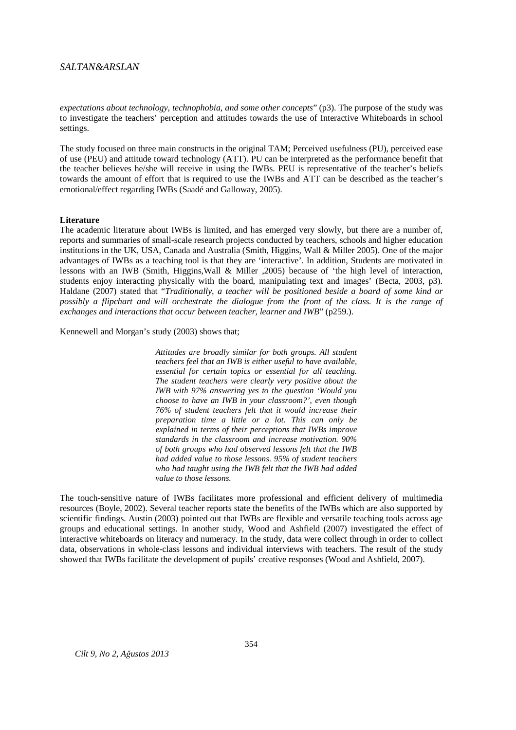*expectations about technology, technophobia, and some other concepts*" (p3). The purpose of the study was to investigate the teachers' perception and attitudes towards the use of Interactive Whiteboards in school settings.

The study focused on three main constructs in the original TAM; Perceived usefulness (PU), perceived ease of use (PEU) and attitude toward technology (ATT). PU can be interpreted as the performance benefit that the teacher believes he/she will receive in using the IWBs. PEU is representative of the teacher's beliefs towards the amount of effort that is required to use the IWBs and ATT can be described as the teacher's emotional/effect regarding IWBs (Saadé and Galloway, 2005).

#### **Literature**

The academic literature about IWBs is limited, and has emerged very slowly, but there are a number of, reports and summaries of small-scale research projects conducted by teachers, schools and higher education institutions in the UK, USA, Canada and Australia (Smith, Higgins, Wall & Miller 2005). One of the major advantages of IWBs as a teaching tool is that they are 'interactive'. In addition, Students are motivated in lessons with an IWB (Smith, Higgins,Wall & Miller ,2005) because of 'the high level of interaction, students enjoy interacting physically with the board, manipulating text and images' (Becta, 2003, p3). Haldane (2007) stated that "*Traditionally, a teacher will be positioned beside a board of some kind or possibly a flipchart and will orchestrate the dialogue from the front of the class. It is the range of exchanges and interactions that occur between teacher, learner and IWB*" (p259.).

Kennewell and Morgan's study (2003) shows that;

*Attitudes are broadly similar for both groups. All student teachers feel that an IWB is either useful to have available, essential for certain topics or essential for all teaching. The student teachers were clearly very positive about the IWB with 97% answering yes to the question 'Would you choose to have an IWB in your classroom?', even though 76% of student teachers felt that it would increase their preparation time a little or a lot. This can only be explained in terms of their perceptions that IWBs improve standards in the classroom and increase motivation. 90% of both groups who had observed lessons felt that the IWB had added value to those lessons. 95% of student teachers who had taught using the IWB felt that the IWB had added value to those lessons.* 

The touch-sensitive nature of IWBs facilitates more professional and efficient delivery of multimedia resources (Boyle, 2002). Several teacher reports state the benefits of the IWBs which are also supported by scientific findings. Austin (2003) pointed out that IWBs are flexible and versatile teaching tools across age groups and educational settings. In another study, Wood and Ashfield (2007) investigated the effect of interactive whiteboards on literacy and numeracy. In the study, data were collect through in order to collect data, observations in whole-class lessons and individual interviews with teachers. The result of the study showed that IWBs facilitate the development of pupils' creative responses (Wood and Ashfield, 2007).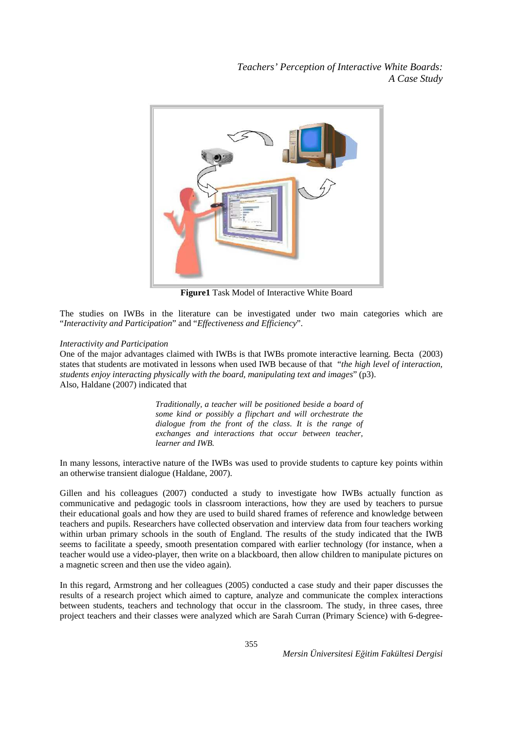

**Figure1** Task Model of Interactive White Board

The studies on IWBs in the literature can be investigated under two main categories which are "*Interactivity and Participation*" and "*Effectiveness and Efficiency*".

## *Interactivity and Participation*

One of the major advantages claimed with IWBs is that IWBs promote interactive learning. Becta (2003) states that students are motivated in lessons when used IWB because of that "*the high level of interaction, students enjoy interacting physically with the board, manipulating text and images*" (p3). Also, Haldane (2007) indicated that

> *Traditionally, a teacher will be positioned beside a board of some kind or possibly a flipchart and will orchestrate the dialogue from the front of the class. It is the range of exchanges and interactions that occur between teacher, learner and IWB.*

In many lessons, interactive nature of the IWBs was used to provide students to capture key points within an otherwise transient dialogue (Haldane, 2007).

Gillen and his colleagues (2007) conducted a study to investigate how IWBs actually function as communicative and pedagogic tools in classroom interactions, how they are used by teachers to pursue their educational goals and how they are used to build shared frames of reference and knowledge between teachers and pupils. Researchers have collected observation and interview data from four teachers working within urban primary schools in the south of England. The results of the study indicated that the IWB seems to facilitate a speedy, smooth presentation compared with earlier technology (for instance, when a teacher would use a video-player, then write on a blackboard, then allow children to manipulate pictures on a magnetic screen and then use the video again).

In this regard, Armstrong and her colleagues (2005) conducted a case study and their paper discusses the results of a research project which aimed to capture, analyze and communicate the complex interactions between students, teachers and technology that occur in the classroom. The study, in three cases, three project teachers and their classes were analyzed which are Sarah Curran (Primary Science) with 6-degree-

*Mersin Üniversitesi Eğitim Fakültesi Dergisi*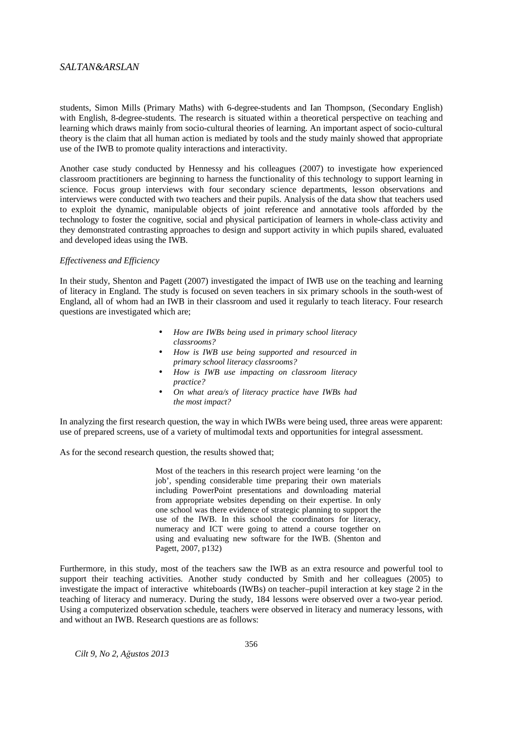students, Simon Mills (Primary Maths) with 6-degree-students and Ian Thompson, (Secondary English) with English, 8-degree-students. The research is situated within a theoretical perspective on teaching and learning which draws mainly from socio-cultural theories of learning. An important aspect of socio-cultural theory is the claim that all human action is mediated by tools and the study mainly showed that appropriate use of the IWB to promote quality interactions and interactivity.

Another case study conducted by Hennessy and his colleagues (2007) to investigate how experienced classroom practitioners are beginning to harness the functionality of this technology to support learning in science. Focus group interviews with four secondary science departments, lesson observations and interviews were conducted with two teachers and their pupils. Analysis of the data show that teachers used to exploit the dynamic, manipulable objects of joint reference and annotative tools afforded by the technology to foster the cognitive, social and physical participation of learners in whole-class activity and they demonstrated contrasting approaches to design and support activity in which pupils shared, evaluated and developed ideas using the IWB.

#### *Effectiveness and Efficiency*

In their study, Shenton and Pagett (2007) investigated the impact of IWB use on the teaching and learning of literacy in England. The study is focused on seven teachers in six primary schools in the south-west of England, all of whom had an IWB in their classroom and used it regularly to teach literacy. Four research questions are investigated which are;

- *How are IWBs being used in primary school literacy classrooms?*
- *How is IWB use being supported and resourced in primary school literacy classrooms?*
- *How is IWB use impacting on classroom literacy practice?*
- *On what area/s of literacy practice have IWBs had the most impact?*

In analyzing the first research question, the way in which IWBs were being used, three areas were apparent: use of prepared screens, use of a variety of multimodal texts and opportunities for integral assessment.

As for the second research question, the results showed that;

Most of the teachers in this research project were learning 'on the job', spending considerable time preparing their own materials including PowerPoint presentations and downloading material from appropriate websites depending on their expertise. In only one school was there evidence of strategic planning to support the use of the IWB. In this school the coordinators for literacy, numeracy and ICT were going to attend a course together on using and evaluating new software for the IWB. (Shenton and Pagett, 2007, p132)

Furthermore, in this study, most of the teachers saw the IWB as an extra resource and powerful tool to support their teaching activities. Another study conducted by Smith and her colleagues (2005) to investigate the impact of interactive whiteboards (IWBs) on teacher–pupil interaction at key stage 2 in the teaching of literacy and numeracy. During the study, 184 lessons were observed over a two-year period. Using a computerized observation schedule, teachers were observed in literacy and numeracy lessons, with and without an IWB. Research questions are as follows: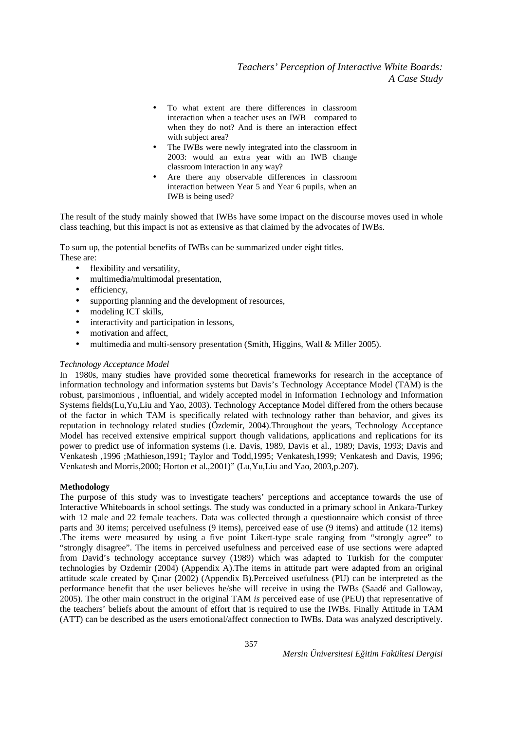- To what extent are there differences in classroom interaction when a teacher uses an IWB compared to when they do not? And is there an interaction effect with subject area?
- The IWBs were newly integrated into the classroom in 2003: would an extra year with an IWB change classroom interaction in any way?
- Are there any observable differences in classroom interaction between Year 5 and Year 6 pupils, when an IWB is being used?

The result of the study mainly showed that IWBs have some impact on the discourse moves used in whole class teaching, but this impact is not as extensive as that claimed by the advocates of IWBs.

To sum up, the potential benefits of IWBs can be summarized under eight titles. These are:

- flexibility and versatility,
- multimedia/multimodal presentation,
- efficiency,
- supporting planning and the development of resources,
- modeling ICT skills,
- interactivity and participation in lessons,
- motivation and affect,
- multimedia and multi-sensory presentation (Smith, Higgins, Wall & Miller 2005).

## *Technology Acceptance Model*

In 1980s, many studies have provided some theoretical frameworks for research in the acceptance of information technology and information systems but Davis's Technology Acceptance Model (TAM) is the robust, parsimonious , influential, and widely accepted model in Information Technology and Information Systems fields(Lu,Yu,Liu and Yao, 2003). Technology Acceptance Model differed from the others because of the factor in which TAM is specifically related with technology rather than behavior, and gives its reputation in technology related studies (Özdemir, 2004).Throughout the years, Technology Acceptance Model has received extensive empirical support though validations, applications and replications for its power to predict use of information systems (i.e. Davis, 1989, Davis et al., 1989; Davis, 1993; Davis and Venkatesh ,1996 ;Mathieson,1991; Taylor and Todd,1995; Venkatesh,1999; Venkatesh and Davis, 1996; Venkatesh and Morris,2000; Horton et al.,2001)" (Lu,Yu,Liu and Yao, 2003,p.207).

## **Methodology**

The purpose of this study was to investigate teachers' perceptions and acceptance towards the use of Interactive Whiteboards in school settings. The study was conducted in a primary school in Ankara-Turkey with 12 male and 22 female teachers. Data was collected through a questionnaire which consist of three parts and 30 items; perceived usefulness (9 items), perceived ease of use (9 items) and attitude (12 items) .The items were measured by using a five point Likert-type scale ranging from "strongly agree" to "strongly disagree". The items in perceived usefulness and perceived ease of use sections were adapted from David's technology acceptance survey (1989) which was adapted to Turkish for the computer technologies by Ozdemir (2004) (Appendix A).The items in attitude part were adapted from an original attitude scale created by Çınar (2002) (Appendix B).Perceived usefulness (PU) can be interpreted as the performance benefit that the user believes he/she will receive in using the IWBs (Saadé and Galloway, 2005). The other main construct in the original TAM *is* perceived ease of use (PEU) that representative of the teachers' beliefs about the amount of effort that is required to use the IWBs. Finally Attitude in TAM (ATT) can be described as the users emotional/affect connection to IWBs. Data was analyzed descriptively.

*Mersin Üniversitesi Eğitim Fakültesi Dergisi*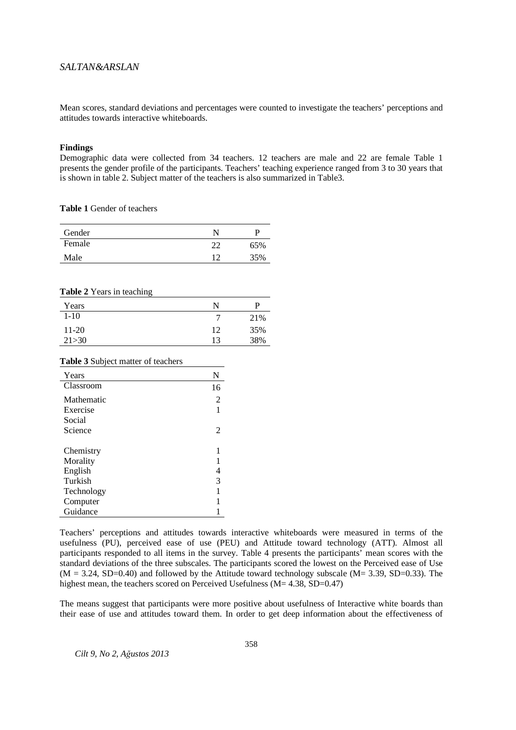Mean scores, standard deviations and percentages were counted to investigate the teachers' perceptions and attitudes towards interactive whiteboards.

#### **Findings**

Demographic data were collected from 34 teachers. 12 teachers are male and 22 are female Table 1 presents the gender profile of the participants. Teachers' teaching experience ranged from 3 to 30 years that is shown in table 2. Subject matter of the teachers is also summarized in Table3.

**Table 1** Gender of teachers

| Gender |             | р   |
|--------|-------------|-----|
| Female | റി          | 65% |
| Male   | $1^{\circ}$ | 35% |

#### **Table 2** Years in teaching

| Years    | N  |     |
|----------|----|-----|
| $1 - 10$ |    | 21% |
| $11-20$  | 12 | 35% |
| 21 > 30  | 13 | 38% |

# **Table 3** Subject matter of teachers

| Years      | N              |
|------------|----------------|
| Classroom  | 16             |
| Mathematic | $\overline{c}$ |
| Exercise   | 1              |
| Social     |                |
| Science    | 2              |
|            |                |
| Chemistry  | 1              |
| Morality   | 1              |
| English    | 4              |
| Turkish    | 3              |
| Technology | 1              |
| Computer   | 1              |
| Guidance   |                |

Teachers' perceptions and attitudes towards interactive whiteboards were measured in terms of the usefulness (PU), perceived ease of use (PEU) and Attitude toward technology (ATT). Almost all participants responded to all items in the survey. Table 4 presents the participants' mean scores with the standard deviations of the three subscales. The participants scored the lowest on the Perceived ease of Use  $(M = 3.24, SD=0.40)$  and followed by the Attitude toward technology subscale  $(M = 3.39, SD=0.33)$ . The highest mean, the teachers scored on Perceived Usefulness (M= 4.38, SD=0.47)

The means suggest that participants were more positive about usefulness of Interactive white boards than their ease of use and attitudes toward them. In order to get deep information about the effectiveness of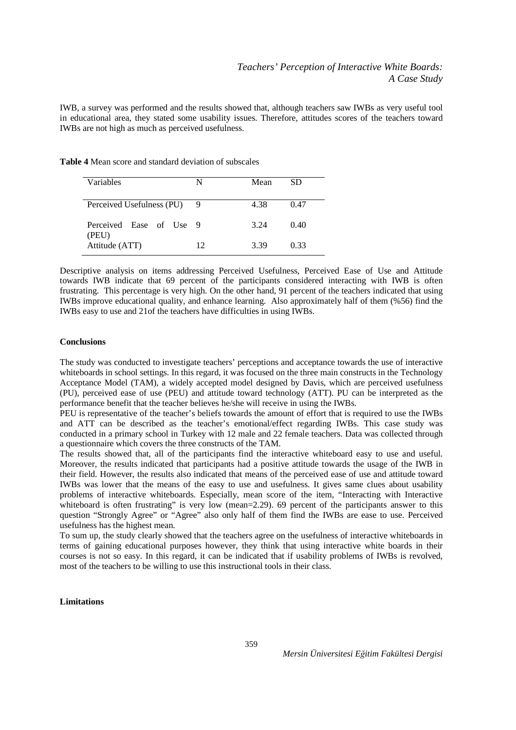IWB, a survey was performed and the results showed that, although teachers saw IWBs as very useful tool in educational area, they stated some usability issues. Therefore, attitudes scores of the teachers toward IWBs are not high as much as perceived usefulness.

| <b>Table 4</b> Mean score and standard deviation of subscales |  |  |
|---------------------------------------------------------------|--|--|
|---------------------------------------------------------------|--|--|

| Variables                        | N   | Mean | SD   |
|----------------------------------|-----|------|------|
| Perceived Usefulness (PU)        | - 9 | 4.38 | 0.47 |
| Perceived Ease of Use 9<br>(PEU) |     | 3.24 | 0.40 |
| Attitude (ATT)                   | 12  | 3.39 | 0.33 |

Descriptive analysis on items addressing Perceived Usefulness, Perceived Ease of Use and Attitude towards IWB indicate that 69 percent of the participants considered interacting with IWB is often frustrating. This percentage is very high. On the other hand, 91 percent of the teachers indicated that using IWBs improve educational quality, and enhance learning. Also approximately half of them (%56) find the IWBs easy to use and 21of the teachers have difficulties in using IWBs.

#### **Conclusions**

The study was conducted to investigate teachers' perceptions and acceptance towards the use of interactive whiteboards in school settings. In this regard, it was focused on the three main constructs in the Technology Acceptance Model (TAM), a widely accepted model designed by Davis, which are perceived usefulness (PU), perceived ease of use (PEU) and attitude toward technology (ATT). PU can be interpreted as the performance benefit that the teacher believes he/she will receive in using the IWBs.

PEU is representative of the teacher's beliefs towards the amount of effort that is required to use the IWBs and ATT can be described as the teacher's emotional/effect regarding IWBs. This case study was conducted in a primary school in Turkey with 12 male and 22 female teachers. Data was collected through a questionnaire which covers the three constructs of the TAM.

The results showed that, all of the participants find the interactive whiteboard easy to use and useful. Moreover, the results indicated that participants had a positive attitude towards the usage of the IWB in their field. However, the results also indicated that means of the perceived ease of use and attitude toward IWBs was lower that the means of the easy to use and usefulness. It gives same clues about usability problems of interactive whiteboards. Especially, mean score of the item, "Interacting with Interactive whiteboard is often frustrating" is very low (mean=2.29). 69 percent of the participants answer to this question "Strongly Agree" or "Agree" also only half of them find the IWBs are ease to use. Perceived usefulness has the highest mean.

To sum up, the study clearly showed that the teachers agree on the usefulness of interactive whiteboards in terms of gaining educational purposes however, they think that using interactive white boards in their courses is not so easy. In this regard, it can be indicated that if usability problems of IWBs is revolved, most of the teachers to be willing to use this instructional tools in their class.

# **Limitations**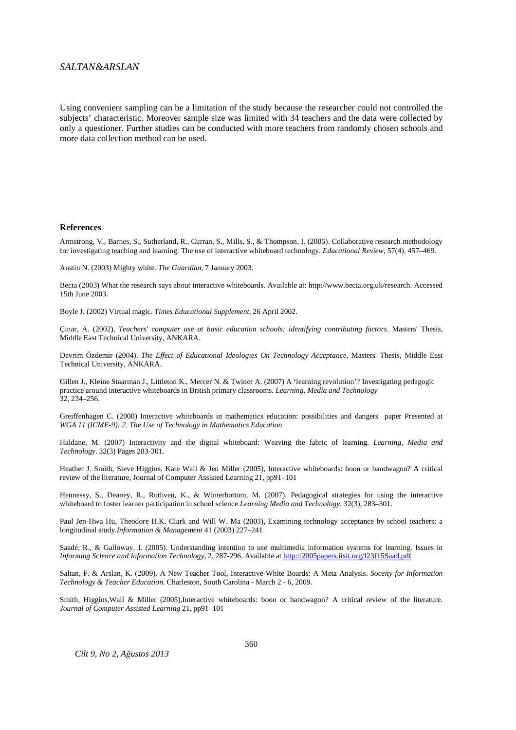Using convenient sampling can be a limitation of the study because the researcher could not controlled the subjects' characteristic. Moreover sample size was limited with 34 teachers and the data were collected by only a questioner. Further studies can be conducted with more teachers from randomly chosen schools and more data collection method can be used.

#### **References**

Armstrong, V., Barnes, S., Sutherland, R., Curran, S., Mills, S., & Thompson, I. (2005). Collaborative research methodology for investigating teaching and learning: The use of interactive whiteboard technology. *Educational Review*, 57(4), 457–469.

Austin N. (2003) Mighty white. *The Guardian*, 7 January 2003.

Becta (2003) What the research says about interactive whiteboards. Available at: http://www.becta.org.uk/research. Accessed 15th June 2003.

Boyle J. (2002) Virtual magic. *Times Educational Supplement*, 26 April 2002.

Çınar, A. (2002). *Teachers' computer use at basic education schools: identifying contributing factors.* Masters' Thesis, Middle East Technical University, ANKARA.

Devrim Özdemir (2004). *The Effect of Educatıonal Ideologıes On Technology Acceptance*, Masters' Thesis, Middle East Technical University, ANKARA.

Gillen J., Kleine Staarman J., Littleton K., Mercer N. & Twiner A. (2007) A 'learning revolution'? Investigating pedagogic practice around interactive whiteboards in British primary classrooms. *Learning, Media and Technology*  32, 234–256.

Greiffenhagen C. (2000) Interactive whiteboards in mathematics education: possibilities and dangers paper Presented at *WGA 11 (ICME-9): 2. The Use of Technology in Mathematics Education*.

Haldane, M. (2007) Interactivity and the digital whiteboard: Weaving the fabric of learning. *Learning, Media and Technology*. 32(3) Pages 283-301.

Heather J. Smith, Steve Higgins, Kate Wall & Jen Miller (2005), Interactive whiteboards: boon or bandwagon? A critical review of the literature, Journal of Computer Assisted Learning 21, pp91–101

Hennessy, S., Deaney, R., Ruthven, K., & Winterbottom, M. (2007). Pedagogical strategies for using the interactive whiteboard to foster learner participation in school science.*Learning Media and Technology*, 32(3), 283–301.

Paul Jen-Hwa Hu, Theodore H.K. Clark and Will W. Ma (2003), Examining technology acceptance by school teachers: a longitudinal study.*Information & Management* 41 (2003) 227–241

Saadé, R., & Galloway, I. (2005). Understanding intention to use multimedia information systems for learning. Issues in *Informing Science and Information Technology*, 2, 287-296. Available at http://2005papers.iisit.org/I23f15Saad.pdf

Saltan, F. & Arslan, K. (2009). A New Teacher Tool, Interactive White Boards: A Meta Analysis. *Soceity for Information Technology & Teacher Education*. Charleston, South Carolina - March 2 - 6, 2009.

Smith, Higgins, Wall & Miller (2005), Interactive whiteboards: boon or bandwagon? A critical review of the literature. *Journal of Computer Assisted Learning* 21, pp91–101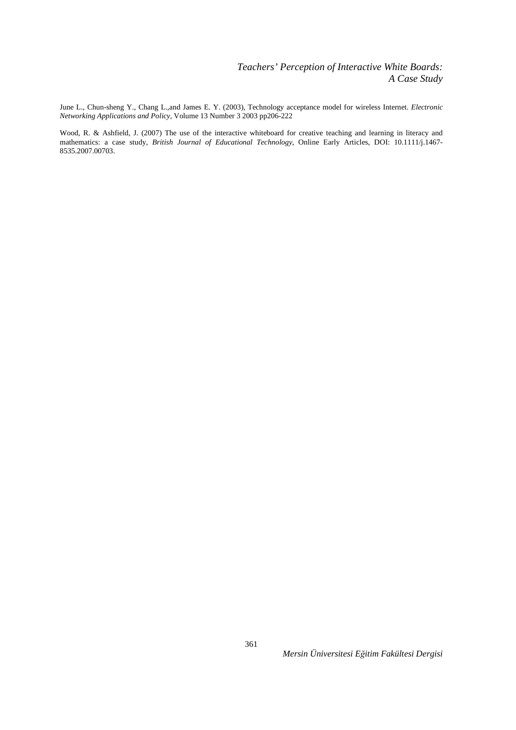June L., Chun-sheng Y., Chang L.,and James E. Y. (2003), Technology acceptance model for wireless Internet. *Electronic Networking Applications and Policy,* Volume 13 Number 3 2003 pp206-222

Wood, R. & Ashfield, J. (2007) The use of the interactive whiteboard for creative teaching and learning in literacy and mathematics: a case study, *British Journal of Educational Technology*, Online Early Articles, DOI: 10.1111/j.1467- 8535.2007.00703.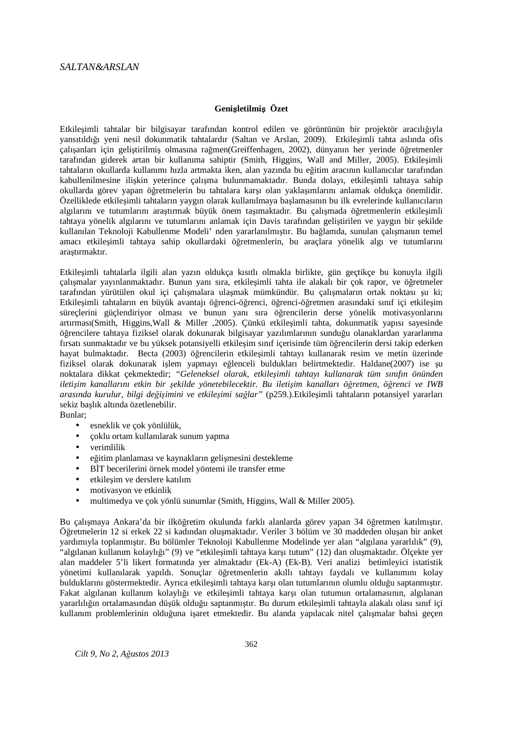# **Geni**ş**letilmi**ş **Özet**

Etkileşimli tahtalar bir bilgisayar tarafından kontrol edilen ve görüntünün bir projektör aracılığıyla yansıtıldığı yeni nesil dokunmatik tahtalardır (Saltan ve Arslan, 2009). Etkileşimli tahta aslında ofis çalışanları için geliştirilmiş olmasına rağmen(Greiffenhagen, 2002), dünyanın her yerinde öğretmenler tarafından giderek artan bir kullanıma sahiptir (Smith, Higgins, Wall and Miller, 2005). Etkileşimli tahtaların okullarda kullanımı hızla artmakta iken, alan yazında bu eğitim aracının kullanıcılar tarafından kabullenilmesine ilişkin yeterince çalışma bulunmamaktadır. Bunda dolayı, etkileşimli tahtaya sahip okullarda görev yapan öğretmelerin bu tahtalara karşı olan yaklaşımlarını anlamak oldukça önemlidir. Özelliklede etkileşimli tahtaların yaygın olarak kullanılmaya başlamasının bu ilk evrelerinde kullanıcıların algılarını ve tutumlarını araştırmak büyük önem taşımaktadır. Bu çalışmada öğretmenlerin etkileşimli tahtaya yönelik algılarını ve tutumlarını anlamak için Davis tarafından geliştirilen ve yaygın bir şekilde kullanılan Teknoloji Kabullenme Modeli' nden yararlanılmıştır. Bu bağlamda, sunulan çalışmanın temel amacı etkileşimli tahtaya sahip okullardaki öğretmenlerin, bu araçlara yönelik algı ve tutumlarını araştırmaktır.

Etkileşimli tahtalarla ilgili alan yazın oldukça kısıtlı olmakla birlikte, gün geçtikçe bu konuyla ilgili çalışmalar yayınlanmaktadır. Bunun yanı sıra, etkileşimli tahta ile alakalı bir çok rapor, ve öğretmeler tarafından yürütülen okul içi çalışmalara ulaşmak mümkündür. Bu çalışmaların ortak noktası şu ki; Etkileşimli tahtaların en büyük avantajı öğrenci-öğrenci, öğrenci-öğretmen arasındaki sınıf içi etkileşim süreçlerini güçlendiriyor olması ve bunun yanı sıra öğrencilerin derse yönelik motivasyonlarını artırması(Smith, Higgins,Wall & Miller ,2005). Çünkü etkileşimli tahta, dokunmatik yapısı sayesinde öğrencilere tahtaya fiziksel olarak dokunarak bilgisayar yazılımlarının sunduğu olanaklardan yararlanma fırsatı sunmaktadır ve bu yüksek potansiyelli etkileşim sınıf içerisinde tüm öğrencilerin dersi takip ederken hayat bulmaktadır. Becta (2003) öğrencilerin etkileşimli tahtayı kullanarak resim ve metin üzerinde fiziksel olarak dokunarak işlem yapmayı eğlenceli buldukları belirtmektedir. Haldane(2007) ise şu noktalara dikkat çekmektedir; *"Geleneksel olarak, etkileşimli tahtayı kullanarak tüm sınıfın önünden iletişim kanallarını etkin bir şekilde yönetebilecektir. Bu iletişim kanalları öğretmen, öğrenci ve IWB arasında kurulur, bilgi değişimini ve etkileşimi sağlar"* (p259.).Etkileşimli tahtaların potansiyel yararları sekiz başlık altında özetlenebilir.

Bunlar;

- esneklik ve çok yönlülük,
- çoklu ortam kullanılarak sunum yapma
- verimlilik
- eğitim planlaması ve kaynakların gelişmesini destekleme
- BİT becerilerini örnek model yöntemi ile transfer etme
- etkileşim ve derslere katılım
- motivasyon ve etkinlik
- multimedya ve çok yönlü sunumlar (Smith, Higgins, Wall & Miller 2005).

Bu çalışmaya Ankara'da bir ilköğretim okulunda farklı alanlarda görev yapan 34 öğretmen katılmıştır. Öğretmelerin 12 si erkek 22 si kadından oluşmaktadır. Veriler 3 bölüm ve 30 maddeden oluşan bir anket yardımıyla toplanmıştır. Bu bölümler Teknoloji Kabullenme Modelinde yer alan "algılana yararlılık" (9), "algılanan kullanım kolaylığı" (9) ve "etkileşimli tahtaya karşı tutum" (12) dan oluşmaktadır. Ölçekte yer alan maddeler 5'li likert formatında yer almaktadır (Ek-A) (Ek-B). Veri analizi betimleyici istatistik yönetimi kullanılarak yapıldı. Sonuçlar öğretmenlerin akıllı tahtayı faydalı ve kullanımını kolay bulduklarını göstermektedir. Ayrıca etkileşimli tahtaya karşı olan tutumlarının olumlu olduğu saptanmıştır. Fakat algılanan kullanım kolaylığı ve etkileşimli tahtaya karşı olan tutumun ortalamasının, algılanan yararlılığın ortalamasından düşük olduğu saptanmıştır. Bu durum etkileşimli tahtayla alakalı olası sınıf içi kullanım problemlerinin olduğuna işaret etmektedir. Bu alanda yapılacak nitel çalışmalar bahsi geçen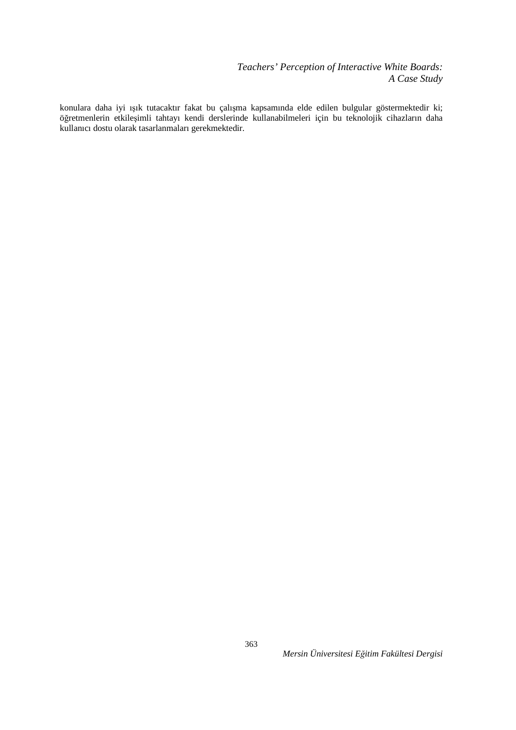*Teachers' Perception of Interactive White Boards: A Case Study* 

konulara daha iyi ışık tutacaktır fakat bu çalışma kapsamında elde edilen bulgular göstermektedir ki; öğretmenlerin etkileşimli tahtayı kendi derslerinde kullanabilmeleri için bu teknolojik cihazların daha kullanıcı dostu olarak tasarlanmaları gerekmektedir.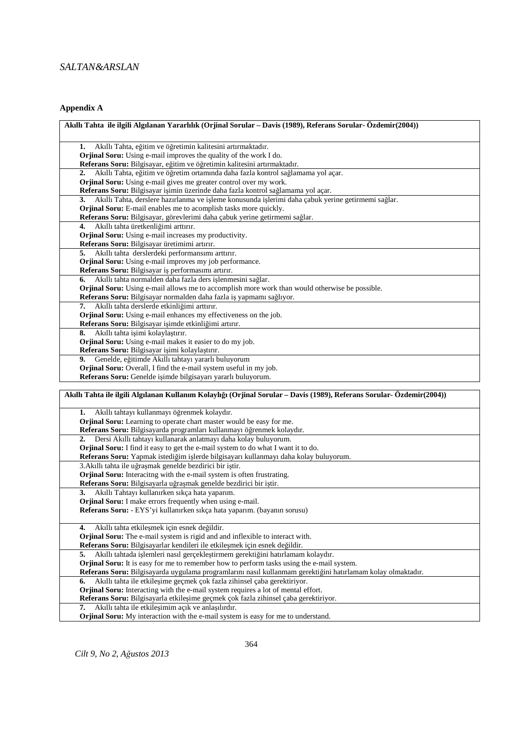# **Appendix A**

| Akıllı Tahta ile ilgili Algılanan Yararlılık (Orjinal Sorular – Davis (1989), Referans Sorular- Özdemir(2004))         |
|------------------------------------------------------------------------------------------------------------------------|
| Akıllı Tahta, eğitim ve öğretimin kalitesini artırmaktadır.<br>1.                                                      |
| <b>Orjinal Soru:</b> Using e-mail improves the quality of the work I do.                                               |
| Referans Soru: Bilgisayar, eğitim ve öğretimin kalitesini artırmaktadır.                                               |
| Akıllı Tahta, eğitim ve öğretim ortamında daha fazla kontrol sağlamama yol açar.<br>2.                                 |
| Orjinal Soru: Using e-mail gives me greater control over my work.                                                      |
| Referans Soru: Bilgisayar işimin üzerinde daha fazla kontrol sağlamama yol açar.                                       |
| Akıllı Tahta, derslere hazırlanma ve işleme konusunda işlerimi daha çabuk yerine getirmemi sağlar.<br>3.               |
| <b>Orjinal Soru:</b> E-mail enables me to acomplish tasks more quickly.                                                |
| Referans Soru: Bilgisayar, görevlerimi daha çabuk yerine getirmemi sağlar.                                             |
| Akıllı tahta üretkenliğimi arttırır.<br>4.                                                                             |
| Orjinal Soru: Using e-mail increases my productivity.                                                                  |
| Referans Soru: Bilgisayar üretimimi artırır.                                                                           |
| Akıllı tahta derslerdeki performansımı arttırır.<br>5.                                                                 |
| Orjinal Soru: Using e-mail improves my job performance.                                                                |
| Referans Soru: Bilgisayar iş performasımı artırır.                                                                     |
| Akıllı tahta normalden daha fazla ders işlenmesini sağlar.                                                             |
| Orjinal Soru: Using e-mail allows me to accomplish more work than would otherwise be possible.                         |
| Referans Soru: Bilgisayar normalden daha fazla iş yapmamı sağlıyor.                                                    |
| Akıllı tahta derslerde etkinliğimi arttırır.<br>7.                                                                     |
| Orjinal Soru: Using e-mail enhances my effectiveness on the job.                                                       |
| Referans Soru: Bilgisayar işimde etkinliğimi artırır.                                                                  |
| Akıllı tahta işimi kolaylaştırır.<br>8.                                                                                |
| Orjinal Soru: Using e-mail makes it easier to do my job.                                                               |
| Referans Soru: Bilgisayar işimi kolaylaştırır.                                                                         |
| Genelde, eğitimde Akıllı tahtayı yararlı buluyorum<br>9.                                                               |
| Orjinal Soru: Overall, I find the e-mail system useful in my job.                                                      |
| Referans Soru: Genelde işimde bilgisayarı yararlı buluyorum.                                                           |
| Akıllı Tahta ile ilgili Algılanan Kullanım Kolaylığı (Orjinal Sorular – Davis (1989), Referans Sorular- Özdemir(2004)) |
|                                                                                                                        |
| Akıllı tahtayı kullanmayı öğrenmek kolaydır.<br>1.                                                                     |
| Orjinal Soru: Learning to operate chart master would be easy for me.                                                   |
| Referans Soru: Bilgisayarda programları kullanmayı öğrenmek kolaydır.                                                  |
| Dersi Akıllı tahtayı kullanarak anlatmayı daha kolay buluyorum.<br>2.                                                  |
| Orjinal Soru: I find it easy to get the e-mail system to do what I want it to do.                                      |
| Referans Soru: Yapmak istediğim islerde bilgisayarı kullanmayı daha kolay buluyorum.                                   |

3.Akıllı tahta ile uğraşmak genelde bezdirici bir iştir.

**Orjinal Soru:** Interacitng with the e-mail system is often frustrating.

**Referans Soru:** Bilgisayarla uğraşmak genelde bezdirici bir iştir.

**3.** Akıllı Tahtayı kullanırken sıkça hata yaparım.

**Orjinal Soru:** I make errors frequently when using e-mail.

**Referans Soru:** - EYS'yi kullanırken sıkça hata yaparım. (bayanın sorusu)

| 4. Akıllı tahta etkilesmek için esnek değildir.                                                             |  |
|-------------------------------------------------------------------------------------------------------------|--|
| <b>Orjinal Soru:</b> The e-mail system is rigid and and inflexible to interact with.                        |  |
| Referans Soru: Bilgisayarlar kendileri ile etkileşmek için esnek değildir.                                  |  |
| Akıllı tahtada işlemleri nasıl gerçekleştirmem gerektiğini hatırlamam kolaydır.<br>5.                       |  |
| <b>Orjinal Soru:</b> It is easy for me to remember how to perform tasks using the e-mail system.            |  |
| Referans Soru: Bilgisayarda uygulama programlarını nasıl kullanmam gerektiğini hatırlamam kolay olmaktadır. |  |
| 6. Akıllı tahta ile etkileşime geçmek çok fazla zihinsel çaba gerektiriyor.                                 |  |
| <b>Orjinal Soru:</b> Interacting with the e-mail system requires a lot of mental effort.                    |  |
| Referans Soru: Bilgisayarla etkilesime geçmek çok fazla zihinsel çaba gerektiriyor.                         |  |
| 7. Akıllı tahta ile etkilesimim açık ve anlaşılırdır.                                                       |  |
| Orjinal Soru: My interaction with the e-mail system is easy for me to understand.                           |  |